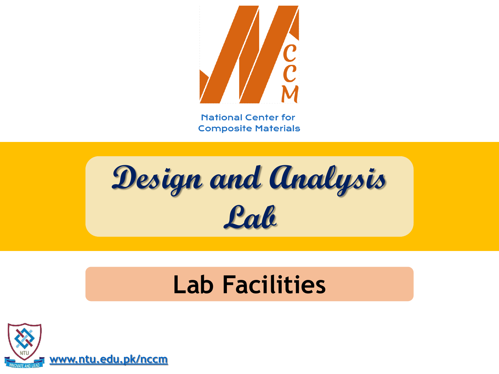

**Design and Analysis Lab**

### **Lab Facilities**

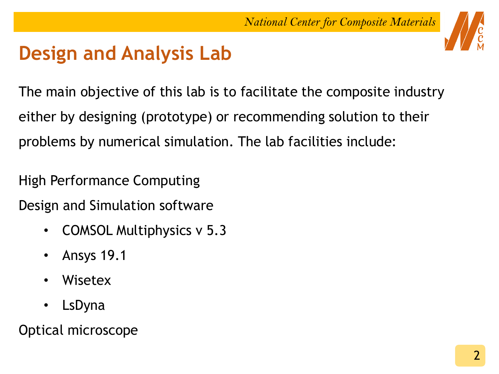

### **Design and Analysis Lab**

The main objective of this lab is to facilitate the composite industry either by designing (prototype) or recommending solution to their problems by numerical simulation. The lab facilities include:

High Performance Computing

Design and Simulation software

- COMSOL Multiphysics v 5.3
- Ansys 19.1
- Wisetex
- **LsDyna**

Optical microscope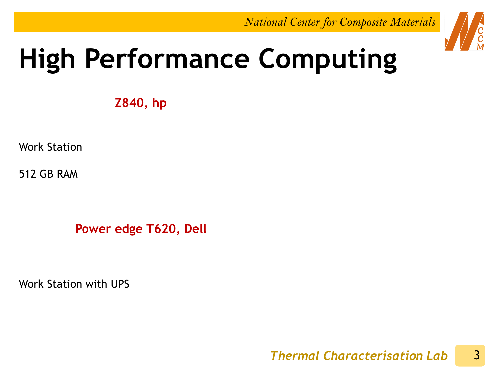

## **High Performance Computing**

**Z840, hp**

Work Station

512 GB RAM

**Power edge T620, Dell**

Work Station with UPS

3 *Thermal Characterisation Lab*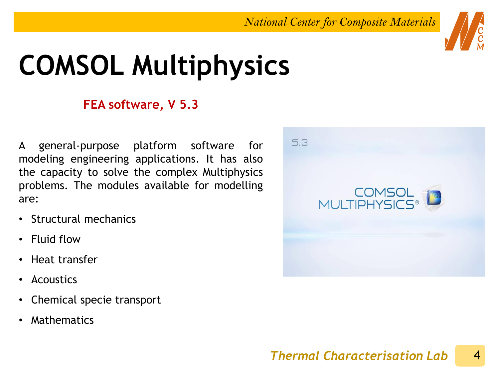## **COMSOL Multiphysics**

### **FEA software, V 5.3**

A general-purpose platform software for modeling engineering applications. It has also the capacity to solve the complex Multiphysics problems. The modules available for modelling are:

- Structural mechanics
- Fluid flow
- Heat transfer
- Acoustics
- Chemical specie transport
- **Mathematics**

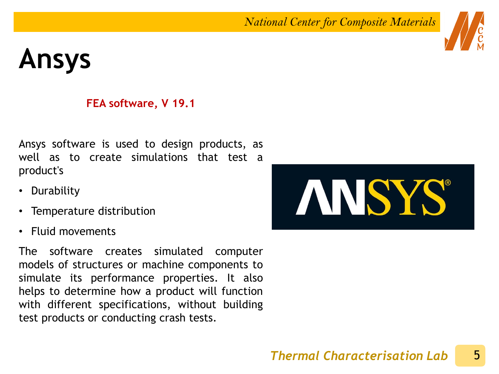## **Ansys**

### **FEA software, V 19.1**

Ansys software is used to design products, as well as to create simulations that test a product's

- Durability
- Temperature distribution
- Fluid movements

The software creates simulated computer models of structures or machine components to simulate its performance properties. It also helps to determine how a product will function with different specifications, without building test products or conducting crash tests.

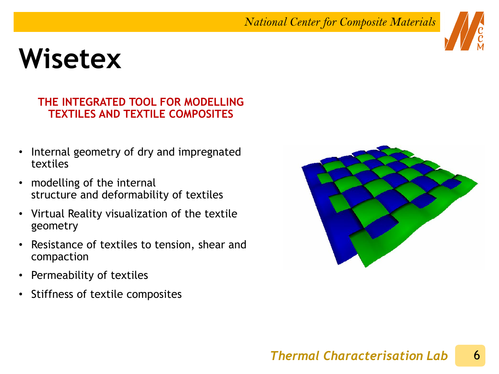## **Wisetex**

#### **THE INTEGRATED TOOL FOR MODELLING TEXTILES AND TEXTILE COMPOSITES**

- Internal geometry of dry and impregnated textiles
- modelling of the internal structure and deformability of textiles
- Virtual Reality visualization of the textile geometry
- Resistance of textiles to tension, shear and compaction
- Permeability of textiles
- Stiffness of textile composites



#### 6 *Thermal Characterisation Lab*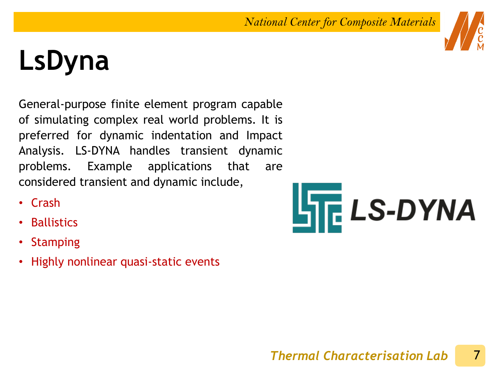# **LsDyna**

General-purpose finite element program capable of simulating complex real world problems. It is preferred for dynamic indentation and Impact Analysis. LS-DYNA handles transient dynamic problems. Example applications that are considered transient and dynamic include,

- Crash
- **Ballistics**
- Stamping
- Highly nonlinear quasi-static events